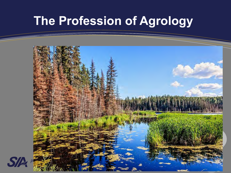#### **The Profession of Agrology**

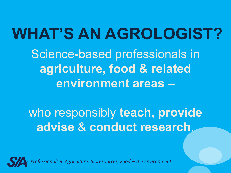**WHAT'S AN AGROLOGIST?** Science-based professionals in **agriculture, food & related environment areas** –

who responsibly **teach**, **provide advise** & **conduct research**.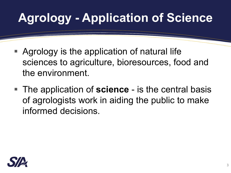## **Agrology - Application of Science**

- Agrology is the application of natural life sciences to agriculture, bioresources, food and the environment.
- The application of **science** is the central basis of agrologists work in aiding the public to make informed decisions.

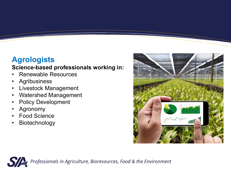#### **Agrologists**

#### **Science-based professionals working in:**

- Renewable Resources
- **Agribusiness**
- Livestock Management
- Watershed Management
- Policy Development
- **Agronomy**
- Food Science
- **Biotechnology**



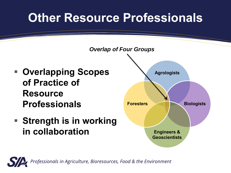#### **Other Resource Professionals**

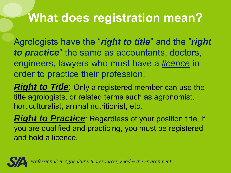#### **What does registration mean?**

Agrologists have the "*right to title*" and the "*right to practice*" the same as accountants, doctors, engineers, lawyers who must have a *licence* in order to practice their profession.

*Right to Title:* Only a registered member can use the title agrologists, or related terms such as agronomist, horticulturalist, animal nutritionist, etc.

*Right to Practice:* Regardless of your position title, if you are qualified and practicing, you must be registered and hold a licence.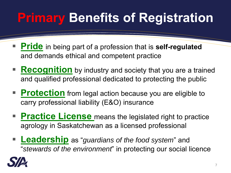## **Primary Benefits of Registration**

- Pride in being part of a profession that is self-regulated and demands ethical and competent practice
- **Recognition** by industry and society that you are a trained and qualified professional dedicated to protecting the public
- **Protection** from legal action because you are eligible to carry professional liability (E&O) insurance
- **Practice License** means the legislated right to practice agrology in Saskatchewan as a licensed professional
- **Leadership** as "*guardians of the food system*" and "*stewards of the environment*" in protecting our social licence

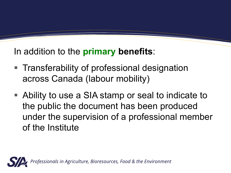#### In addition to the **primary benefits**:

- Transferability of professional designation across Canada (labour mobility)
- Ability to use a SIA stamp or seal to indicate to the public the document has been produced under the supervision of a professional member of the Institute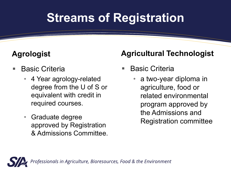#### **Streams of Registration**

#### **Agrologist**

- **Basic Criteria** 
	- 4 Year agrology-related degree from the U of S or equivalent with credit in required courses.
	- Graduate degree approved by Registration & Admissions Committee.

#### **Agricultural Technologist**

- **Basic Criteria** 
	- a two-year diploma in agriculture, food or related environmental program approved by the Admissions and Registration committee

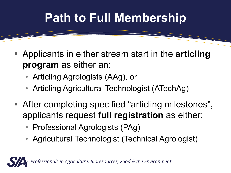## **Path to Full Membership**

- Applicants in either stream start in the **articling program** as either an:
	- Articling Agrologists (AAg), or
	- Articling Agricultural Technologist (ATechAg)
- After completing specified "articling milestones", applicants request **full registration** as either:
	- Professional Agrologists (PAg)
	- Agricultural Technologist (Technical Agrologist)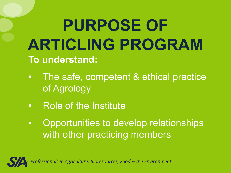# **PURPOSE OF ARTICLING PROGRAM To understand:**

- The safe, competent & ethical practice of Agrology
- Role of the Institute
- Opportunities to develop relationships with other practicing members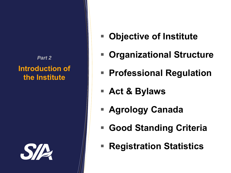#### **Introduction of the Institute** *Part 2*



- Objective of Institute
- **Organizational Structure**
- Professional Regulation
- **Act & Bylaws**
- **Agrology Canada**
- Good Standing Criteria
- **Registration Statistics**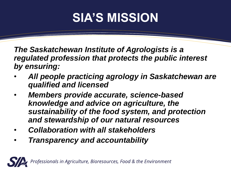#### **SIA'S MISSION**

*The Saskatchewan Institute of Agrologists is a regulated profession that protects the public interest by ensuring:* 

- *All people practicing agrology in Saskatchewan are qualified and licensed*
- *Members provide accurate, science-based knowledge and advice on agriculture, the sustainability of the food system, and protection and stewardship of our natural resources*
- *Collaboration with all stakeholders*
- *Transparency and accountability*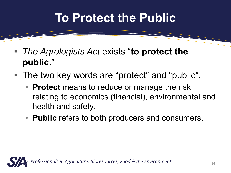#### **To Protect the Public**

- **The Agrologists Act exists "to protect the public**."
- The two key words are "protect" and "public".
	- **Protect** means to reduce or manage the risk relating to economics (financial), environmental and health and safety.
	- **Public** refers to both producers and consumers.

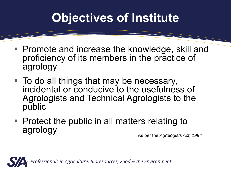#### **Objectives of Institute**

- Promote and increase the knowledge, skill and proficiency of its members in the practice of agrology
- To do all things that may be necessary, incidental or conducive to the usefulness of Agrologists and Technical Agrologists to the public
- $\blacksquare$  Protect the public in all matters relating to agrology

As per the *Agrologists Act, 1994*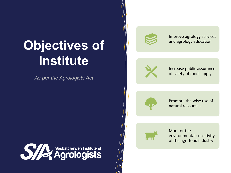## **Objectives of Institute**

*As per the Agrologists Act*



Improve agrology services and agrology education



Increase public assurance of safety of food supply



Promote the wise use of natural resources



Monitor the environmental sensitivity of the agri-food industry

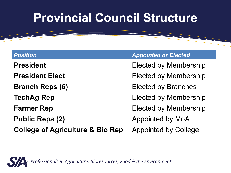#### **Provincial Council Structure**

**President** Elected by Membership **President Elect** Elected by Membership **Branch Reps (6)** Elected by Branches **TechAg Rep Elected by Membership Farmer Rep Elected by Membership Public Reps (2) Appointed by MoA College of Agriculture & Bio Rep** Appointed by College

#### **Position** *Appointed or Elected*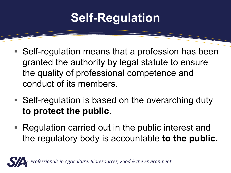#### **Self-Regulation**

- Self-regulation means that a profession has been granted the authority by legal statute to ensure the quality of professional competence and conduct of its members.
- Self-regulation is based on the overarching duty **to protect the public**.
- Regulation carried out in the public interest and the regulatory body is accountable **to the public.**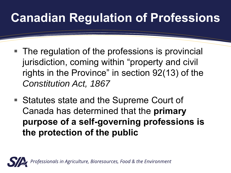## **Canadian Regulation of Professions**

- The regulation of the professions is provincial jurisdiction, coming within "property and civil rights in the Province" in section 92(13) of the *Constitution Act, 1867*
- Statutes state and the Supreme Court of Canada has determined that the **primary purpose of a self-governing professions is the protection of the public**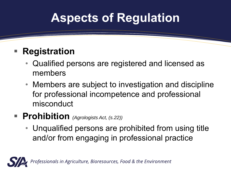#### **Aspects of Regulation**

#### **Registration**

- Qualified persons are registered and licensed as members
- Members are subject to investigation and discipline for professional incompetence and professional misconduct

#### ■ **Prohibition** *(Agrologists Act, (s.22))*

• Unqualified persons are prohibited from using title and/or from engaging in professional practice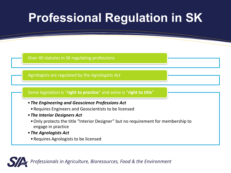#### **Professional Regulation in SK**

Over 40 statutes in SK regulating professions

Agrologists are regulated by the *Agrologists Act*

#### Some legislation is "**right to practice**" and some is "**right to title**"

- •*The Engineering and Geoscience Professions Act* 
	- •Requires Engineers and Geoscientists to be licensed
- •*The Interior Designers Act* 
	- •Only protects the title "Interior Designer" but no requirement for membership to engage in practice
- •*The Agrologists Act*
- •Requires Agrologists to be licensed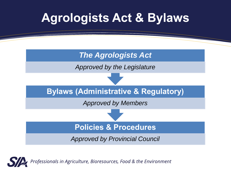

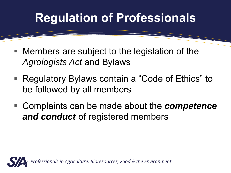#### **Regulation of Professionals**

- Members are subject to the legislation of the *Agrologists Act* and Bylaws
- Regulatory Bylaws contain a "Code of Ethics" to be followed by all members
- Complaints can be made about the *competence* and conduct of registered members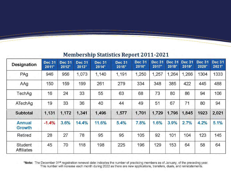#### **Membership Statistics Report 2011-2021**

| <b>Designation</b>                  | <b>Dec 31</b><br>$2011*$ | <b>Dec 31</b><br>2012* | <b>Dec 31</b><br>$2013*$ | <b>Dec 31</b><br>$2014*$ | <b>Dec 31</b><br>$2015*$ | <b>Dec 31</b><br>2016* | <b>Dec 31</b><br>2017* | <b>Dec 31</b><br>$2018*$ | <b>Dec 31</b><br>2019* | <b>Dec 31</b><br>2020* | <b>Dec 31</b><br>2021* |
|-------------------------------------|--------------------------|------------------------|--------------------------|--------------------------|--------------------------|------------------------|------------------------|--------------------------|------------------------|------------------------|------------------------|
| PAq                                 | 946                      | 956                    | 1,073                    | 1,140                    | 1,191                    | 1,250                  | 1,257                  | 1,264                    | 1,266                  | 1304                   | 1333                   |
| AAg                                 | 150                      | 159                    | 199                      | 261                      | 279                      | 334                    | 348                    | 385                      | 422                    | 445                    | 488                    |
| TechAg                              | 16                       | 24                     | 33                       | 55                       | 63                       | 68                     | 73                     | 80                       | 86                     | 94                     | 106                    |
| ATechAg                             | 19                       | 33                     | 36                       | 40                       | 44                       | 49                     | 51                     | 67                       | 71                     | 80                     | 94                     |
| <b>Subtotal</b>                     | 1,131                    | 1,172                  | 1,341                    | 1,496                    | 1,577                    | 1,701                  | 1,729                  | 1,796                    | 1,845                  | 1923                   | 2,021                  |
| <b>Annual</b><br>Growth             | $-1.4%$                  | 3.6%                   | 14.4%                    | 11.6%                    | 5.4%                     | 7.8%                   | 1.6%                   | 3.9%                     | 2.7%                   | 4.2%                   | 5.1%                   |
| Retired                             | 28                       | 27                     | 78                       | 95                       | 95                       | 105                    | 92                     | 101                      | 104                    | 123                    | 145                    |
| <b>Student</b><br><b>Affiliates</b> | 45                       | 70                     | 118                      | 198                      | 225                      | 196                    | 129                    | 153                      | 64                     | 58                     | 64                     |

\*Note: The December 31<sup>st</sup> registration renewal date indicates the number of practicing members as of January, of the preceding year. This number will increase each month during 2022 as there are new applications, transfers, duals, and reinstatements.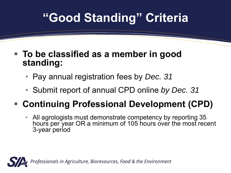#### **"Good Standing" Criteria**

- To be classified as a member in good **standing:**
	- Pay annual registration fees by *Dec. 31*
	- Submit report of annual CPD online *by Dec. 31*

#### ▪ **Continuing Professional Development (CPD)**

• All agrologists must demonstrate competency by reporting 35 hours per year OR a minimum of 105 hours over the most recent 3-year period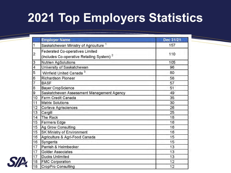## **2021 Top Employers Statistics**

|                         | <b>Employer Name</b>                                                                            | Dec 31/21 |
|-------------------------|-------------------------------------------------------------------------------------------------|-----------|
|                         | Saskatchewan Ministry of Agriculture <sup>1</sup>                                               | 157       |
| $\overline{c}$          | <b>Federated Co-operatives Limited</b><br>(includes Co-operative Retailing System) <sup>2</sup> | 110       |
| 3                       | Nutrien AgSolutions                                                                             | 105       |
| $\overline{\mathbf{4}}$ | University of Saskatchewan                                                                      | 96        |
| 5                       | Winfield United Canada <sup>3</sup>                                                             | 80        |
| 6                       | <b>Richardson Pioneer</b>                                                                       | 58        |
| $\overline{7}$          | <b>BASF</b>                                                                                     | 57        |
| $\bf{8}$                | <b>Bayer CropScience</b>                                                                        | 51        |
| 9                       | Saskatchewan Assessment Management Agency                                                       | 49        |
| 10                      | Farm Credit Canada                                                                              | 35        |
| 11                      | <b>Matrix Solutions</b>                                                                         | 30        |
| 12                      | Corteva Agrisciences                                                                            | 26        |
| 13                      | Cargill                                                                                         | 25        |
| 14                      | The Rack                                                                                        | 18        |
| 15                      | <b>Farmers Edge</b>                                                                             | 16        |
| 15                      | Ag Grow Consulting                                                                              | 16        |
| 15                      | SK Ministry of Environment                                                                      | 16        |
| 16                      | Agriculture & Agri-Food Canada                                                                  | 15        |
| 16                      | Syngenta                                                                                        | 15        |
| 17                      | Parrish & Heimbecker                                                                            | 13        |
| 17                      | <b>Golder Associates</b>                                                                        | 13        |
| 17                      | <b>Ducks Unlimited</b>                                                                          | 13        |
| 18                      | <b>FMC Corporation</b>                                                                          | 12        |
| 18                      | <b>CropPro Consulting</b>                                                                       | 12        |

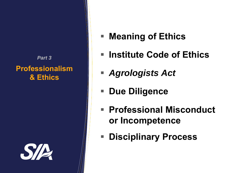#### **Professionalism & Ethics** *Part 3*



- Meaning of Ethics
- Institute Code of Ethics
- *Agrologists Act*
- **Due Diligence**
- **Professional Misconduct or Incompetence**
- **Disciplinary Process**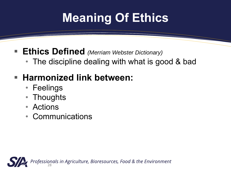## **Meaning Of Ethics**

- **Ethics Defined** *(Merriam Webster Dictionary)* 
	- The discipline dealing with what is good & bad

#### ▪ **Harmonized link between:**

- Feelings
- Thoughts
- Actions
- **Communications**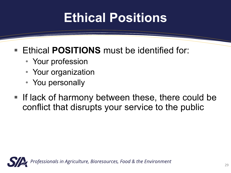## **Ethical Positions**

#### ■ Ethical **POSITIONS** must be identified for:

- Your profession
- Your organization
- You personally
- **.** If lack of harmony between these, there could be conflict that disrupts your service to the public

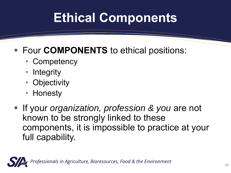## **Ethical Components**

#### ■ Four **COMPONENTS** to ethical positions:

- Competency
- Integrity
- Objectivity
- Honesty
- **EXT** If your *organization, profession & you* are not known to be strongly linked to these components, it is impossible to practice at your full capability.

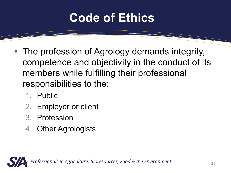#### **Code of Ethics**

- The profession of Agrology demands integrity, competence and objectivity in the conduct of its members while fulfilling their professional responsibilities to the:
	- 1. Public
	- 2. Employer or client
	- 3. Profession
	- 4. Other Agrologists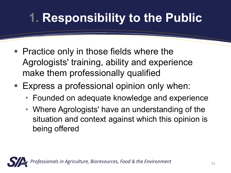## **1. Responsibility to the Public**

- Practice only in those fields where the Agrologists' training, ability and experience make them professionally qualified
- Express a professional opinion only when:
	- Founded on adequate knowledge and experience
	- Where Agrologists' have an understanding of the situation and context against which this opinion is being offered

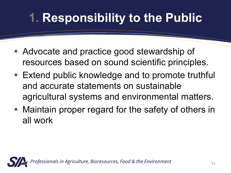## **1. Responsibility to the Public**

- Advocate and practice good stewardship of resources based on sound scientific principles.
- Extend public knowledge and to promote truthful and accurate statements on sustainable agricultural systems and environmental matters.
- Maintain proper regard for the safety of others in all work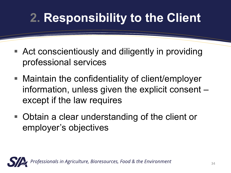## **2. Responsibility to the Client**

- Act conscientiously and diligently in providing professional services
- Maintain the confidentiality of client/employer information, unless given the explicit consent – except if the law requires
- Obtain a clear understanding of the client or employer's objectives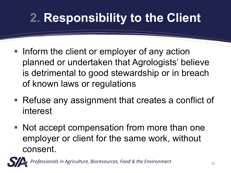## **2. Responsibility to the Client**

- Inform the client or employer of any action planned or undertaken that Agrologists' believe is detrimental to good stewardship or in breach of known laws or regulations
- Refuse any assignment that creates a conflict of interest
- Not accept compensation from more than one employer or client for the same work, without consent.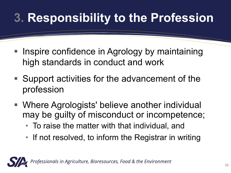## **3. Responsibility to the Profession**

- Inspire confidence in Agrology by maintaining high standards in conduct and work
- Support activities for the advancement of the profession
- Where Agrologists' believe another individual may be guilty of misconduct or incompetence;
	- To raise the matter with that individual, and
	- If not resolved, to inform the Registrar in writing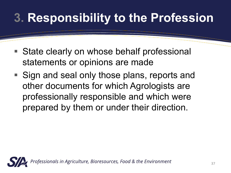## **3. Responsibility to the Profession**

- State clearly on whose behalf professional statements or opinions are made
- Sign and seal only those plans, reports and other documents for which Agrologists are professionally responsible and which were prepared by them or under their direction.

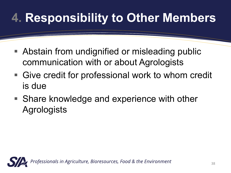## **4. Responsibility to Other Members**

- Abstain from undignified or misleading public communication with or about Agrologists
- Give credit for professional work to whom credit is due
- Share knowledge and experience with other **Agrologists**

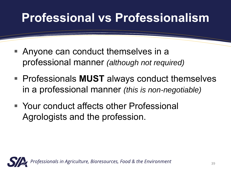#### **Professional vs Professionalism**

- Anyone can conduct themselves in a professional manner *(although not required)*
- Professionals **MUST** always conduct themselves in a professional manner *(this is non-negotiable)*
- Your conduct affects other Professional Agrologists and the profession.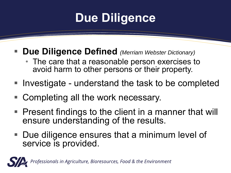#### **Due Diligence**

- **Due Diligence Defined** *(Merriam Webster Dictionary)* 
	- The care that a reasonable person exercises to avoid harm to other persons or their property.
- Investigate understand the task to be completed
- Completing all the work necessary.
- Present findings to the client in a manner that will ensure understanding of the results.
- Due diligence ensures that a minimum level of service is provided.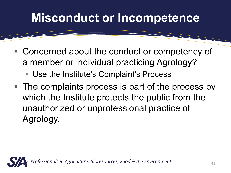#### **Misconduct or Incompetence**

- Concerned about the conduct or competency of a member or individual practicing Agrology?
	- Use the Institute's Complaint's Process
- The complaints process is part of the process by which the Institute protects the public from the unauthorized or unprofessional practice of Agrology.

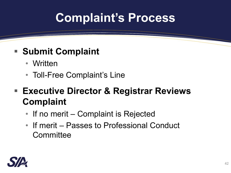#### **Complaint's Process**

#### ■ Submit Complaint

- Written
- Toll-Free Complaint's Line
- **Executive Director & Registrar Reviews Complaint**
	- If no merit Complaint is Rejected
	- If merit Passes to Professional Conduct **Committee**

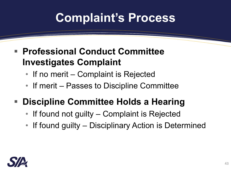#### **Complaint's Process**

- **Professional Conduct Committee Investigates Complaint**
	- If no merit Complaint is Rejected
	- If merit Passes to Discipline Committee
- **Discipline Committee Holds a Hearing** 
	- If found not guilty Complaint is Rejected
	- If found guilty Disciplinary Action is Determined

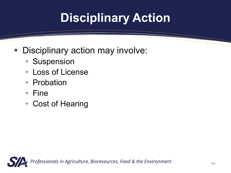## **Disciplinary Action**

- Disciplinary action may involve:
	- Suspension
	- Loss of License
	- Probation
	- Fine
	- Cost of Hearing